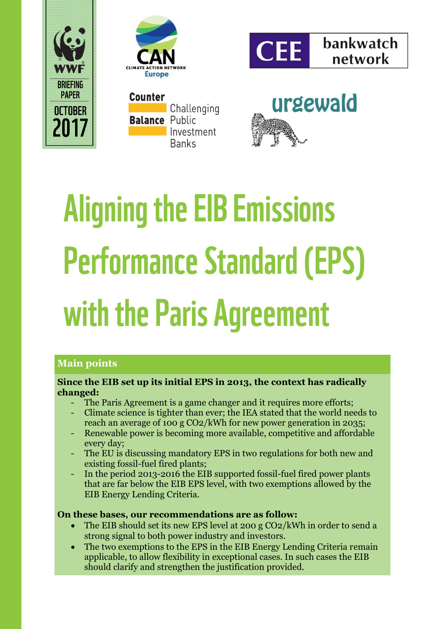





Counter **Challenging Balance Public** Investment **Banks** 



# **Aligning the EIB Emissions Performance Standard (EPS)** with the Paris Agreement

### **Main points**

### **Since the EIB set up its initial EPS in 2013, the context has radically changed:**

- The Paris Agreement is a game changer and it requires more efforts;
- Climate science is tighter than ever; the IEA stated that the world needs to reach an average of 100 g CO2/kWh for new power generation in 2035;
- Renewable power is becoming more available, competitive and affordable every day;
- The EU is discussing mandatory EPS in two regulations for both new and existing fossil-fuel fired plants;
- In the period 2013-2016 the EIB supported fossil-fuel fired power plants that are far below the EIB EPS level, with two exemptions allowed by the EIB Energy Lending Criteria.

### **On these bases, our recommendations are as follow:**

- The EIB should set its new EPS level at 200 g CO2/kWh in order to send a strong signal to both power industry and investors.
- The two exemptions to the EPS in the EIB Energy Lending Criteria remain applicable, to allow flexibility in exceptional cases. In such cases the EIB should clarify and strengthen the justification provided.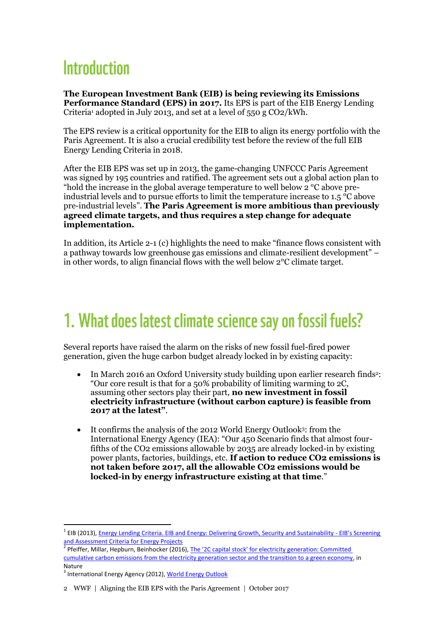# **Introduction**

**The European Investment Bank (EIB) is being reviewing its Emissions Performance Standard (EPS) in 2017.** Its EPS is part of the EIB Energy Lending Criteria<sup>1</sup> adopted in July 2013, and set at a level of  $550 g CO2/kWh$ .

The EPS review is a critical opportunity for the EIB to align its energy portfolio with the Paris Agreement. It is also a crucial credibility test before the review of the full EIB Energy Lending Criteria in 2018.

After the EIB EPS was set up in 2013, the game-changing UNFCCC Paris Agreement was signed by 195 countries and ratified. The agreement sets out a global action plan to "hold the increase in the global average temperature to well below 2 °C above preindustrial levels and to pursue efforts to limit the temperature increase to 1.5  $\degree$ C above pre-industrial levels". **The Paris Agreement is more ambitious than previously agreed climate targets, and thus requires a step change for adequate implementation.**

In addition, its Article 2-1 (c) highlights the need to make "finance flows consistent with a pathway towards low greenhouse gas emissions and climate-resilient development" – in other words, to align financial flows with the well below 2°C climate target.

## 1. What does latest climate science say on fossil fuels?

Several reports have raised the alarm on the risks of new fossil fuel-fired power generation, given the huge carbon budget already locked in by existing capacity:

- In March 2016 an Oxford University study building upon earlier research finds<sup>2</sup>: "Our core result is that for a 50% probability of limiting warming to 2C, assuming other sectors play their part, **no new investment in fossil electricity infrastructure (without carbon capture) is feasible from 2017 at the latest"**.
- It confirms the analysis of the 2012 World Energy Outlook<sup>3</sup> : from the International Energy Agency (IEA): "Our 450 Scenario finds that almost fourfifths of the CO2 emissions allowable by 2035 are already locked-in by existing power plants, factories, buildings, etc. **If action to reduce CO2 emissions is not taken before 2017, all the allowable CO2 emissions would be locked-in by energy infrastructure existing at that time**."

1

<sup>&</sup>lt;sup>1</sup> EIB (2013)[, Energy Lending Criteria. EIB and Energy: Delivering Growth, Security and Sustainability -](http://www.eib.org/attachments/strategies/eib_energy_lending_criteria_en.pdf) EIB's Screening [and Assessment Criteria for Energy Projects](http://www.eib.org/attachments/strategies/eib_energy_lending_criteria_en.pdf)

<sup>&</sup>lt;sup>2</sup> Pfeiffer, Millar, Hepburn, Beinhocker (2016), The '2C capital stock' for electricity generation: Committed [cumulative carbon emissions from the electricity generation sector and the transition to a green economy,](http://www.sciencedirect.com/science/article/pii/S0306261916302495) in Nature

<sup>&</sup>lt;sup>3</sup> International Energy Agency (2012)[, World Energy Outlook](http://www.iea.org/publications/freepublications/publication/English.pdf)

<sup>2</sup> WWF | Aligning the EIB EPS with the Paris Agreement | October 2017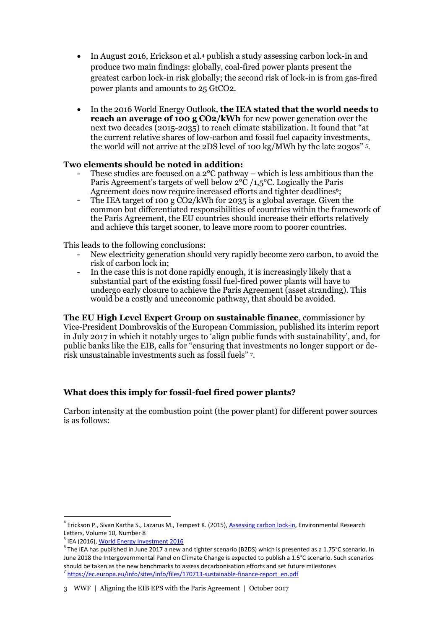- In August 2016, Erickson et al.<sup>4</sup> publish a study assessing carbon lock-in and produce two main findings: globally, coal-fired power plants present the greatest carbon lock-in risk globally; the second risk of lock-in is from gas-fired power plants and amounts to 25 GtCO2.
- In the 2016 World Energy Outlook, **the IEA stated that the world needs to reach an average of 100 g CO2/kWh** for new power generation over the next two decades (2015-2035) to reach climate stabilization. It found that "at the current relative shares of low-carbon and fossil fuel capacity investments, the world will not arrive at the 2DS level of 100 kg/MWh by the late 2030s" <sup>5</sup> .

#### **Two elements should be noted in addition:**

- These studies are focused on a  $2^{\circ}C$  pathway which is less ambitious than the Paris Agreement's targets of well below 2°C /1,5°C. Logically the Paris Agreement does now require increased efforts and tighter deadlines<sup>6</sup>;
- The IEA target of 100 g  $\rm \tilde{CO}2/kWh$  for 2035 is a global average. Given the common but differentiated responsibilities of countries within the framework of the Paris Agreement, the EU countries should increase their efforts relatively and achieve this target sooner, to leave more room to poorer countries.

This leads to the following conclusions:

- New electricity generation should very rapidly become zero carbon, to avoid the risk of carbon lock in;
- In the case this is not done rapidly enough, it is increasingly likely that a substantial part of the existing fossil fuel-fired power plants will have to undergo early closure to achieve the Paris Agreement (asset stranding). This would be a costly and uneconomic pathway, that should be avoided.

**The EU High Level Expert Group on sustainable finance**, commissioner by Vice-President Dombrovskis of the European Commission, published its interim report in July 2017 in which it notably urges to 'align public funds with sustainability', and, for public banks like the EIB, calls for "ensuring that investments no longer support or derisk unsustainable investments such as fossil fuels" <sup>7</sup> .

#### **What does this imply for fossil-fuel fired power plants?**

Carbon intensity at the combustion point (the power plant) for different power sources is as follows:

1

<sup>&</sup>lt;sup>4</sup> Erickson P., Sivan Kartha S., Lazarus M., Tempest K. (2015)[, Assessing carbon lock-in,](http://iopscience.iop.org/article/10.1088/1748-9326/10/8/084023/meta) Environmental Research Letters, Volume 10, Number 8

<sup>&</sup>lt;sup>5</sup> IEA (2016), <u>World Energy Investment 2016</u>

<sup>6</sup> The IEA has published in June 2017 a new and tighter scenario (B2DS) which is presented as a 1.75°C scenario. In June 2018 the Intergovernmental Panel on Climate Change is expected to publish a 1.5°C scenario. Such scenarios should be taken as the new benchmarks to assess decarbonisation efforts and set future milestones <sup>7</sup> [https://ec.europa.eu/info/sites/info/files/170713-sustainable-finance-report\\_en.pdf](https://ec.europa.eu/info/sites/info/files/170713-sustainable-finance-report_en.pdf)

<sup>3</sup> WWF | Aligning the EIB EPS with the Paris Agreement | October 2017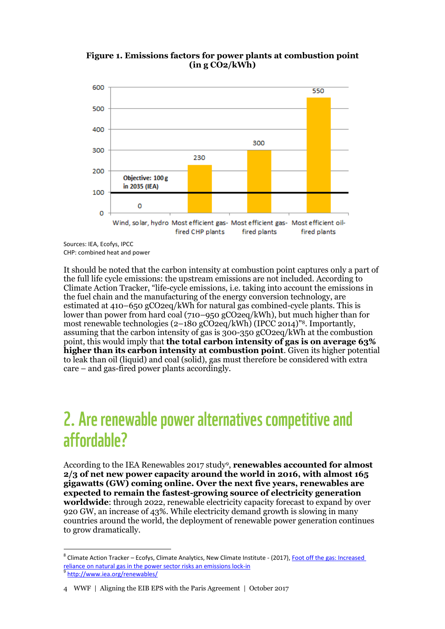



Sources: IEA, Ecofys, IPCC CHP: combined heat and power

1

It should be noted that the carbon intensity at combustion point captures only a part of the full life cycle emissions: the upstream emissions are not included. According to Climate Action Tracker, "life-cycle emissions, i.e. taking into account the emissions in the fuel chain and the manufacturing of the energy conversion technology, are estimated at 410–650 gCO2eq/kWh for natural gas combined-cycle plants. This is lower than power from hard coal (710–950 gCO2eq/kWh), but much higher than for most renewable technologies (2–180 gCO2eq/kWh) (IPCC 2014)" <sup>8</sup>. Importantly, assuming that the carbon intensity of gas is 300-350 gCO2eq/kWh at the combustion point, this would imply that **the total carbon intensity of gas is on average 63% higher than its carbon intensity at combustion point**. Given its higher potential to leak than oil (liquid) and coal (solid), gas must therefore be considered with extra care – and gas-fired power plants accordingly.

### 2. Are renewable power alternatives competitive and affordable?

According to the IEA Renewables 2017 study<sup>9</sup> , **renewables accounted for almost 2/3 of net new power capacity around the world in 2016, with almost 165 gigawatts (GW) coming online. Over the next five years, renewables are expected to remain the fastest-growing source of electricity generation worldwide**: through 2022, renewable electricity capacity forecast to expand by over 920 GW, an increase of 43%. While electricity demand growth is slowing in many countries around the world, the deployment of renewable power generation continues to grow dramatically.

<sup>&</sup>lt;sup>8</sup> Climate Action Tracker – Ecofys, Climate Analytics, New Climate Institute - (2017), Foot off the gas: Increased [reliance on natural gas in the power sector risks an emissions lock-in](http://climateactiontracker.org/assets/publications/briefing_papers/CAT-2017-06-16-DecarbonisationSeries-NaturalGas.pdf) 9 <http://www.iea.org/renewables/>

<sup>4</sup> WWF | Aligning the EIB EPS with the Paris Agreement | October 2017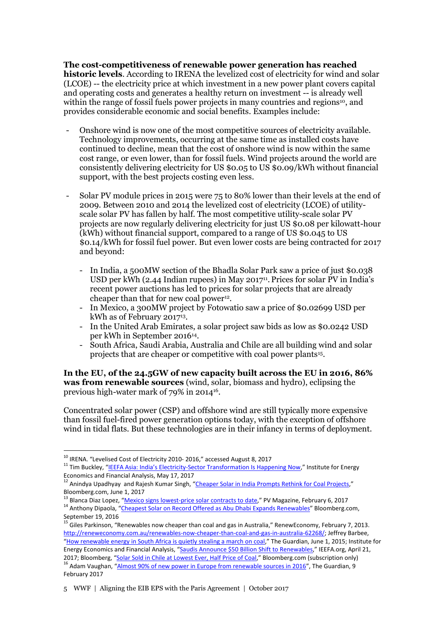**The cost-competitiveness of renewable power generation has reached historic levels**. According to IRENA the levelized cost of electricity for wind and solar (LCOE) -- the electricity price at which investment in a new power plant covers capital and operating costs and generates a healthy return on investment -- is already well within the range of fossil fuels power projects in many countries and regions<sup>10</sup>, and provides considerable economic and social benefits. Examples include:

- Onshore wind is now one of the most competitive sources of electricity available. Technology improvements, occurring at the same time as installed costs have continued to decline, mean that the cost of onshore wind is now within the same cost range, or even lower, than for fossil fuels. Wind projects around the world are consistently delivering electricity for US \$0.05 to US \$0.09/kWh without financial support, with the best projects costing even less.
- Solar PV module prices in 2015 were 75 to 80% lower than their levels at the end of 2009. Between 2010 and 2014 the levelized cost of electricity (LCOE) of utilityscale solar PV has fallen by half. The most competitive utility-scale solar PV projects are now regularly delivering electricity for just US \$0.08 per kilowatt-hour (kWh) without financial support, compared to a range of US \$0.045 to US \$0.14/kWh for fossil fuel power. But even lower costs are being contracted for 2017 and beyond:
	- In India, a 500MW section of the Bhadla Solar Park saw a price of just \$0.038 USD per kWh (2.44 Indian rupees) in May 2017<sup>11</sup>. Prices for solar PV in India's recent power auctions has led to prices for solar projects that are already cheaper than that for new coal power<sup>12</sup>.
	- In Mexico, a 300MW project by Fotowatio saw a price of \$0.02699 USD per kWh as of February 2017<sup>13</sup> .
	- In the United Arab Emirates, a solar project saw bids as low as \$0.0242 USD per kWh in September 2016<sup>14</sup> .
	- South Africa, Saudi Arabia, Australia and Chile are all building wind and solar projects that are cheaper or competitive with coal power plants<sup>15</sup>.

**In the EU, of the 24.5GW of new capacity built across the EU in 2016, 86% was from renewable sources** (wind, solar, biomass and hydro), eclipsing the previous high-water mark of 79% in 2014<sup>16</sup> .

Concentrated solar power (CSP) and offshore wind are still typically more expensive than fossil fuel-fired power generation options today, with the exception of offshore wind in tidal flats. But these technologies are in their infancy in terms of deployment.

<u>.</u>

<sup>13</sup> Blanca Diaz Lopez, "[Mexico signs lowest-price solar contracts to date](https://www.pv-magazine.com/2017/02/06/mexico-signs-lowest-price-solar-contracts-in-the-world-to-date/)," PV Magazine, February 6, 2017 <sup>14</sup> Anthony Dipaola, "[Cheapest Solar on Record Offered as Abu Dhabi Expands Renewables](https://www.bloomberg.com/news/articles/2016-09-19/cheapest-solar-on-record-said-to-be-offered-for-abu-dhabi)" Bloomberg.com,

<sup>&</sup>lt;sup>10</sup> IRENA. "Levelised Cost of Electricity 2010- 2016," accessed August 8, 2017

<sup>&</sup>lt;sup>11</sup> Tim Buckley, "IEEFA Asia: India's Electricity[-Sector Transformation Is Happening Now](http://ieefa.org/ieefa-asia-indias-electricity-sector-transformation-happening-now/)," Institute for Energy Economics and Financial Analysis, May 17, 2017

<sup>&</sup>lt;sup>12</sup> Anindya Upadhyay and Rajesh Kumar Singh, "[Cheaper Solar in India Prompts Rethink for Coal Projects](https://www.bloomberg.com/news/articles/2017-06-01/cheaper-solar-in-india-prompts-rethink-for-more-coal-projects)," Bloomberg.com, June 1, 2017

September 19, 2016 15 Giles Parkinson, "Renewables now cheaper than coal and gas in Australia," RenewEconomy, February 7, 2013.

[http://reneweconomy.com.au/renewables-now-cheaper-than-coal-and-gas-in-australia-62268/;](http://reneweconomy.com.au/renewables-now-cheaper-than-coal-and-gas-in-australia-62268/) Jeffrey Barbee, "[How renewable energy in South Africa is quietly stealing a march on coal](https://www.theguardian.com/environment/2015/jun/01/how-renewable-energy-in-south-africa-is-quietly-stealing-a-march-on-coal)," The Guardian, June 1, 2015; Institute for Energy Economics and Financial Analysis, "[Saudis Announce \\$50 Billion](http://ieefa.org/saudis-announce-50-billion-shift-renewables/) Shift to Renewables," IEEFA.org, April 21, 2017; Bloomberg, "[Solar Sold in Chile at Lowest Ever, Half Price of Coal](https://www.bloomberg.com/news/articles/2016-08-19/solar-sells-in-chile-for-cheapest-ever-at-half-the-price-of-coal)," Bloomberg.com (subscription only) <sup>16</sup> Adam Vaughan, "[Almost 90% of new power in Europe from renewable sources in 2016](https://www.theguardian.com/environment/2017/feb/09/new-energy-europe-renewable-sources-2016)", The Guardian, 9 February 2017

<sup>5</sup> WWF | Aligning the EIB EPS with the Paris Agreement | October 2017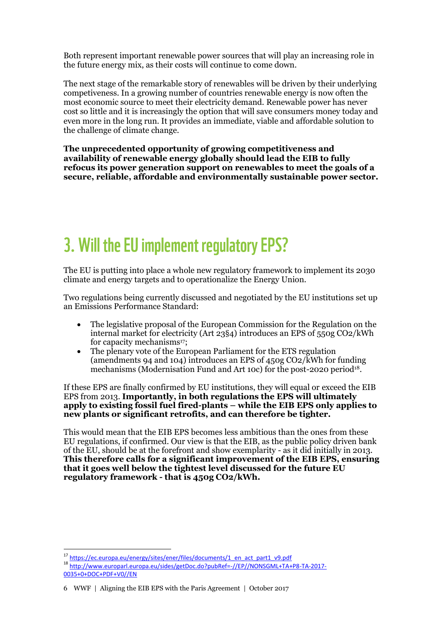Both represent important renewable power sources that will play an increasing role in the future energy mix, as their costs will continue to come down.

The next stage of the remarkable story of renewables will be driven by their underlying competiveness. In a growing number of countries renewable energy is now often the most economic source to meet their electricity demand. Renewable power has never cost so little and it is increasingly the option that will save consumers money today and even more in the long run. It provides an immediate, viable and affordable solution to the challenge of climate change.

**The unprecedented opportunity of growing competitiveness and availability of renewable energy globally should lead the EIB to fully refocus its power generation support on renewables to meet the goals of a secure, reliable, affordable and environmentally sustainable power sector.**

# 3. Will the EU implement regulatory EPS?

The EU is putting into place a whole new regulatory framework to implement its 2030 climate and energy targets and to operationalize the Energy Union.

Two regulations being currently discussed and negotiated by the EU institutions set up an Emissions Performance Standard:

- The legislative proposal of the European Commission for the Regulation on the internal market for electricity (Art 23§4) introduces an EPS of 550g CO2/kWh for capacity mechanisms<sup>17</sup>:
- The plenary vote of the European Parliament for the ETS regulation (amendments 94 and 104) introduces an EPS of 450g CO2/kWh for funding mechanisms (Modernisation Fund and Art 10c) for the post-2020 period<sup>18</sup>.

If these EPS are finally confirmed by EU institutions, they will equal or exceed the EIB EPS from 2013. **Importantly, in both regulations the EPS will ultimately apply to existing fossil fuel fired-plants – while the EIB EPS only applies to new plants or significant retrofits, and can therefore be tighter.**

This would mean that the EIB EPS becomes less ambitious than the ones from these EU regulations, if confirmed. Our view is that the EIB, as the public policy driven bank of the EU, should be at the forefront and show exemplarity - as it did initially in 2013. **This therefore calls for a significant improvement of the EIB EPS, ensuring that it goes well below the tightest level discussed for the future EU regulatory framework - that is 450g CO2/kWh.**

<sup>1</sup> 17 [https://ec.europa.eu/energy/sites/ener/files/documents/1\\_en\\_act\\_part1\\_v9.pdf](https://ec.europa.eu/energy/sites/ener/files/documents/1_en_act_part1_v9.pdf)

<sup>18</sup> [http://www.europarl.europa.eu/sides/getDoc.do?pubRef=-//EP//NONSGML+TA+P8-TA-2017-](http://www.europarl.europa.eu/sides/getDoc.do?pubRef=-//EP//NONSGML+TA+P8-TA-2017-0035+0+DOC+PDF+V0//EN) [0035+0+DOC+PDF+V0//EN](http://www.europarl.europa.eu/sides/getDoc.do?pubRef=-//EP//NONSGML+TA+P8-TA-2017-0035+0+DOC+PDF+V0//EN)

<sup>6</sup> WWF | Aligning the EIB EPS with the Paris Agreement | October 2017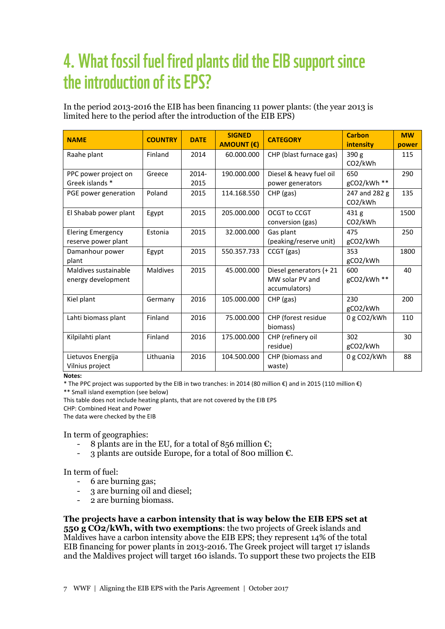# 4. What fossil fuel fired plants did the EIB support since the introduction of its EPS?

In the period 2013-2016 the EIB has been financing 11 power plants: (the year 2013 is limited here to the period after the introduction of the EIB EPS)

| <b>NAME</b>                                     | <b>COUNTRY</b>  | <b>DATE</b>   | <b>SIGNED</b><br><b>AMOUNT (€)</b> | <b>CATEGORY</b>                                             | <b>Carbon</b><br>intensity               | <b>MW</b><br>power |
|-------------------------------------------------|-----------------|---------------|------------------------------------|-------------------------------------------------------------|------------------------------------------|--------------------|
| Raahe plant                                     | Finland         | 2014          | 60.000.000                         | CHP (blast furnace gas)                                     | 390 <sub>g</sub><br>CO <sub>2</sub> /kWh | 115                |
| PPC power project on<br>Greek islands *         | Greece          | 2014-<br>2015 | 190.000.000                        | Diesel & heavy fuel oil<br>power generators                 | 650<br>gCO2/kWh **                       | 290                |
| PGE power generation                            | Poland          | 2015          | 114.168.550                        | $CHP$ (gas)                                                 | 247 and 282 g<br>CO2/kWh                 | 135                |
| El Shabab power plant                           | Egypt           | 2015          | 205.000.000                        | OCGT to CCGT<br>conversion (gas)                            | 431 g<br>CO <sub>2</sub> /kWh            | 1500               |
| <b>Elering Emergency</b><br>reserve power plant | Estonia         | 2015          | 32.000.000                         | Gas plant<br>(peaking/reserve unit)                         | 475<br>gCO2/kWh                          | 250                |
| Damanhour power<br>plant                        | Egypt           | 2015          | 550.357.733                        | CCGT (gas)                                                  | 353<br>gCO2/kWh                          | 1800               |
| Maldives sustainable<br>energy development      | <b>Maldives</b> | 2015          | 45.000.000                         | Diesel generators (+ 21<br>MW solar PV and<br>accumulators) | 600<br>gCO2/kWh **                       | 40                 |
| Kiel plant                                      | Germany         | 2016          | 105.000.000                        | $CHP$ (gas)                                                 | 230<br>gCO2/kWh                          | 200                |
| Lahti biomass plant                             | Finland         | 2016          | 75.000.000                         | CHP (forest residue<br>biomass)                             | 0 g CO2/kWh                              | 110                |
| Kilpilahti plant                                | Finland         | 2016          | 175.000.000                        | CHP (refinery oil<br>residue)                               | 302<br>gCO2/kWh                          | 30                 |
| Lietuvos Energija<br>Vilnius project            | Lithuania       | 2016          | 104.500.000                        | CHP (biomass and<br>waste)                                  | 0 g CO2/kWh                              | 88                 |

**Notes:**

\* The PPC project was supported by the EIB in two tranches: in 2014 (80 million €) and in 2015 (110 million €)

\*\* Small island exemption (see below)

This table does not include heating plants, that are not covered by the EIB EPS

CHP: Combined Heat and Power

The data were checked by the EIB

In term of geographies:

- 8 plants are in the EU, for a total of 856 million  $\epsilon$ ;
- 3 plants are outside Europe, for a total of 800 million  $\epsilon$ .

In term of fuel:

- 6 are burning gas;
- 3 are burning oil and diesel:
- 2 are burning biomass.

**The projects have a carbon intensity that is way below the EIB EPS set at 550 g CO2/kWh, with two exemptions**: the two projects of Greek islands and Maldives have a carbon intensity above the EIB EPS; they represent 14% of the total EIB financing for power plants in 2013-2016. The Greek project will target 17 islands and the Maldives project will target 160 islands. To support these two projects the EIB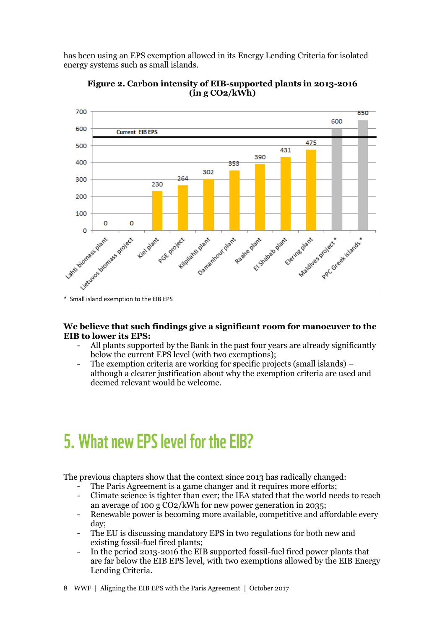has been using an EPS exemption allowed in its Energy Lending Criteria for isolated energy systems such as small islands.



**Figure 2. Carbon intensity of EIB-supported plants in 2013-2016 (in g CO2/kWh)**

#### **We believe that such findings give a significant room for manoeuver to the EIB to lower its EPS:**

- All plants supported by the Bank in the past four years are already significantly below the current EPS level (with two exemptions);
- The exemption criteria are working for specific projects (small islands) although a clearer justification about why the exemption criteria are used and deemed relevant would be welcome.

## 5. What new EPS level for the EIB?

The previous chapters show that the context since 2013 has radically changed:

- The Paris Agreement is a game changer and it requires more efforts;
- Climate science is tighter than ever; the IEA stated that the world needs to reach an average of 100 g CO2/kWh for new power generation in 2035;
- Renewable power is becoming more available, competitive and affordable every day;
- The EU is discussing mandatory EPS in two regulations for both new and existing fossil-fuel fired plants;
- In the period 2013-2016 the EIB supported fossil-fuel fired power plants that are far below the EIB EPS level, with two exemptions allowed by the EIB Energy Lending Criteria.
- 8 WWF | Aligning the EIB EPS with the Paris Agreement | October 2017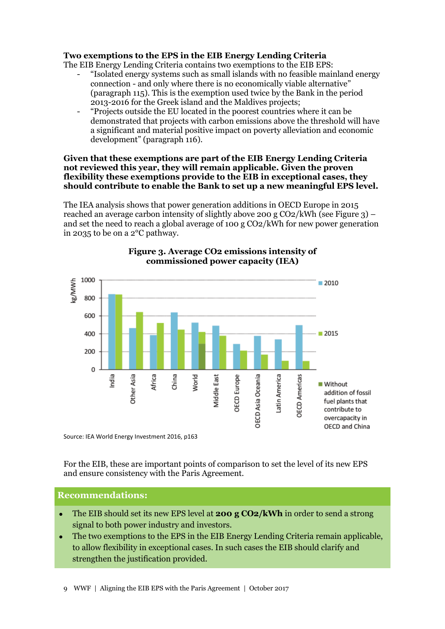#### **Two exemptions to the EPS in the EIB Energy Lending Criteria**

The EIB Energy Lending Criteria contains two exemptions to the EIB EPS:

- "Isolated energy systems such as small islands with no feasible mainland energy connection - and only where there is no economically viable alternative" (paragraph 115). This is the exemption used twice by the Bank in the period 2013-2016 for the Greek island and the Maldives projects;
- "Projects outside the EU located in the poorest countries where it can be demonstrated that projects with carbon emissions above the threshold will have a significant and material positive impact on poverty alleviation and economic development" (paragraph 116).

#### **Given that these exemptions are part of the EIB Energy Lending Criteria not reviewed this year, they will remain applicable. Given the proven flexibility these exemptions provide to the EIB in exceptional cases, they should contribute to enable the Bank to set up a new meaningful EPS level.**

The IEA analysis shows that power generation additions in OECD Europe in 2015 reached an average carbon intensity of slightly above 200 g CO2/kWh (see Figure 3) – and set the need to reach a global average of 100 g CO2/kWh for new power generation in 2035 to be on a 2°C pathway.



#### **Figure 3. Average CO2 emissions intensity of commissioned power capacity (IEA)**

Source: IEA World Energy Investment 2016, p163

For the EIB, these are important points of comparison to set the level of its new EPS and ensure consistency with the Paris Agreement.

#### **Recommendations:**

- The EIB should set its new EPS level at **200 g CO2/kWh** in order to send a strong signal to both power industry and investors.
- The two exemptions to the EPS in the EIB Energy Lending Criteria remain applicable, to allow flexibility in exceptional cases. In such cases the EIB should clarify and strengthen the justification provided.